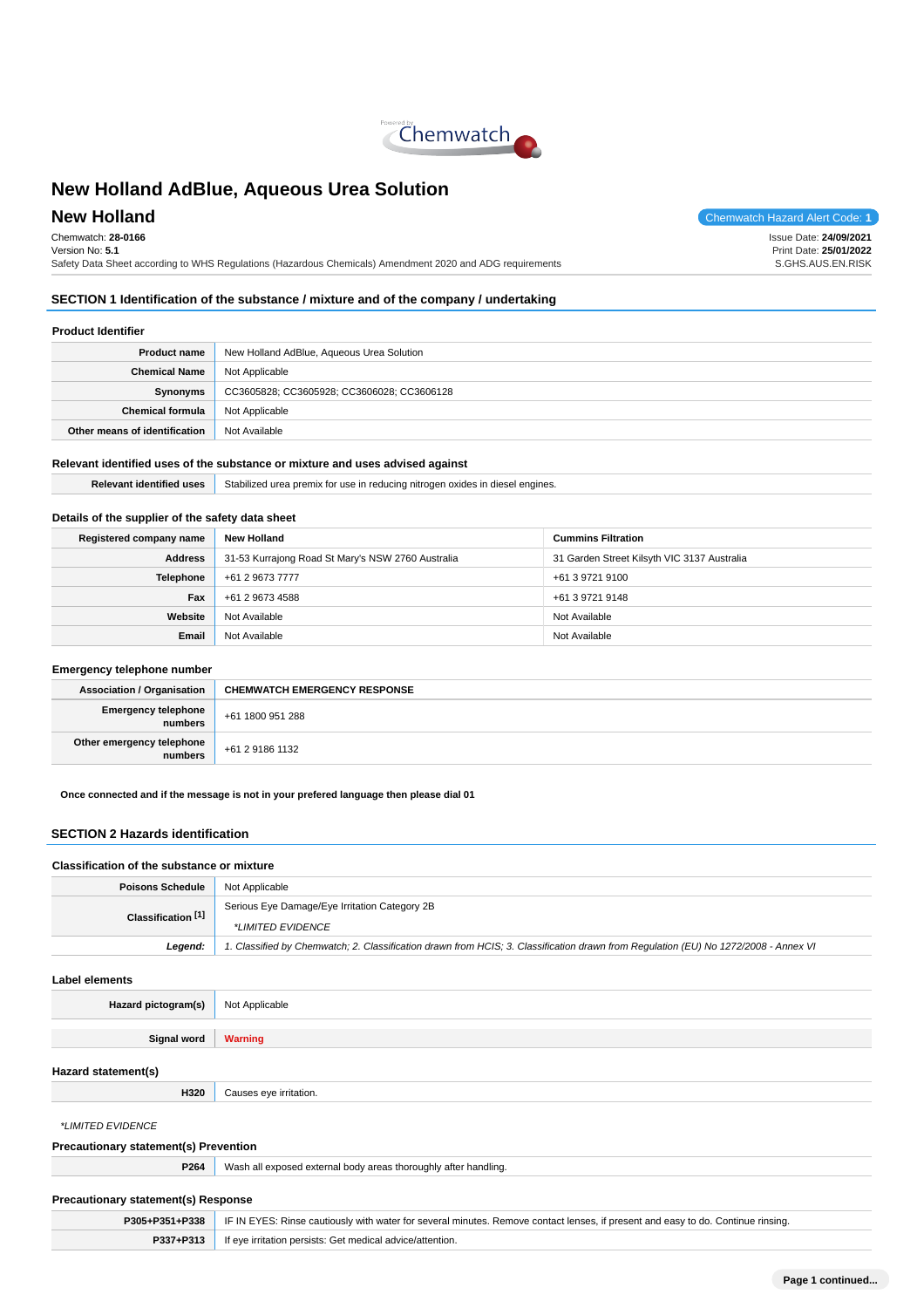

Chemwatch: **28-0166** Version No: **5.1** Safety Data Sheet according to WHS Regulations (Hazardous Chemicals) Amendment 2020 and ADG requirements

**New Holland** Chemwatch Hazard Alert Code: 1

Issue Date: **24/09/2021** Print Date: **25/01/2022** S.GHS.AUS.EN.RISK

## **SECTION 1 Identification of the substance / mixture and of the company / undertaking**

### **Product Identifier**

| <b>Product name</b>           | New Holland AdBlue, Aqueous Urea Solution  |
|-------------------------------|--------------------------------------------|
| <b>Chemical Name</b>          | Not Applicable                             |
| Synonyms                      | CC3605828; CC3605928; CC3606028; CC3606128 |
| <b>Chemical formula</b>       | Not Applicable                             |
| Other means of identification | Not Available                              |

### **Relevant identified uses of the substance or mixture and uses advised against**

**Relevant identified uses** Stabilized urea premix for use in reducing nitrogen oxides in diesel engines.

## **Details of the supplier of the safety data sheet**

| Registered company name | New Holland                                       | <b>Cummins Filtration</b>                   |
|-------------------------|---------------------------------------------------|---------------------------------------------|
| <b>Address</b>          | 31-53 Kurrajong Road St Mary's NSW 2760 Australia | 31 Garden Street Kilsyth VIC 3137 Australia |
| <b>Telephone</b>        | +61 2 9673 7777                                   | +61 3 9721 9100                             |
| Fax                     | +61 2 9673 4588                                   | +61 3 9721 9148                             |
| Website                 | Not Available                                     | Not Available                               |
| Email                   | Not Available                                     | Not Available                               |

### **Emergency telephone number**

| <b>Association / Organisation</b>    | <b>CHEMWATCH EMERGENCY RESPONSE</b> |
|--------------------------------------|-------------------------------------|
| Emergency telephone<br>numbers       | +61 1800 951 288                    |
| Other emergency telephone<br>numbers | +61 2 9186 1132                     |

**Once connected and if the message is not in your prefered language then please dial 01**

## **SECTION 2 Hazards identification**

#### **Classification of the substance or mixture**

| <b>Poisons Schedule</b>       | Not Applicable                                                                                                                      |
|-------------------------------|-------------------------------------------------------------------------------------------------------------------------------------|
| Classification <sup>[1]</sup> | Serious Eye Damage/Eye Irritation Category 2B                                                                                       |
|                               | *LIMITED EVIDENCE                                                                                                                   |
| Legend:                       | 1. Classified by Chemwatch; 2. Classification drawn from HCIS; 3. Classification drawn from Requlation (EU) No 1272/2008 - Annex VI |
| Label elements                |                                                                                                                                     |
| Hazard pictogram(s)           | Not Applicable                                                                                                                      |

| <b>Signal word</b>  | <b>Warning</b>         |
|---------------------|------------------------|
| Hazard statement(s) |                        |
| H320                | Causes eye irritation. |
| *LIMITED EVIDENCE   |                        |

| <b>Precautionary statement(s) Prevention</b> |                                                                 |
|----------------------------------------------|-----------------------------------------------------------------|
| P264                                         | Wash all exposed external body areas thoroughly after handling. |
| <b>Precautionary statement(s) Response</b>   |                                                                 |

|           | P305+P351+P338   IF IN EYES: Rinse cautiously with water for several minutes. Remove contact lenses, if present and easy to do. Continue rinsing. |
|-----------|---------------------------------------------------------------------------------------------------------------------------------------------------|
| P337+P313 | If eye irritation persists: Get medical advice/attention.                                                                                         |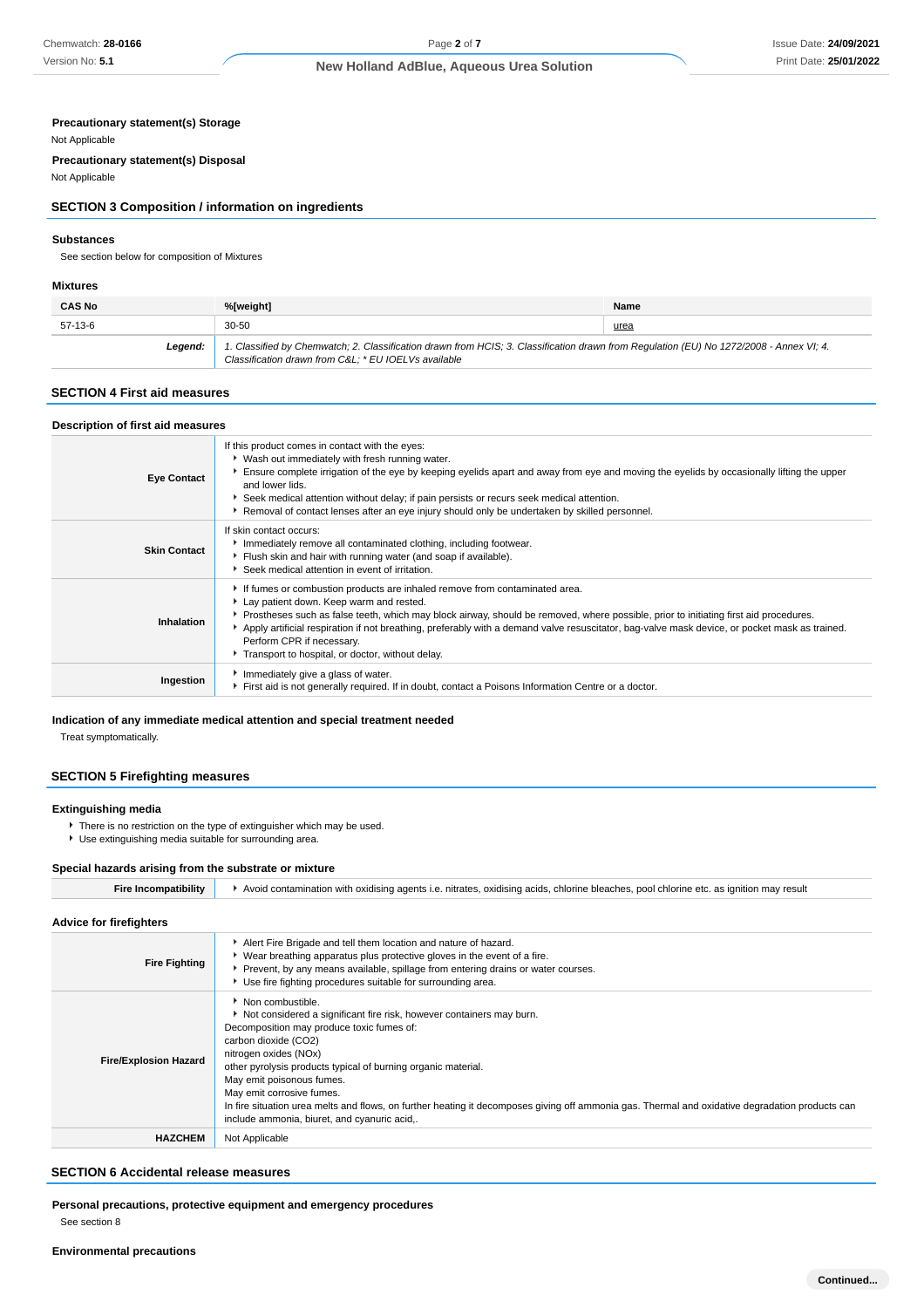### **Precautionary statement(s) Storage**

#### Not Applicable

**Precautionary statement(s) Disposal** Not Applicable

## **SECTION 3 Composition / information on ingredients**

#### **Substances**

See section below for composition of Mixtures

#### **Mixtures**

| <b>CAS No</b> | %[weight]                                                                                                                                                                                      | Name |
|---------------|------------------------------------------------------------------------------------------------------------------------------------------------------------------------------------------------|------|
| 57-13-6       | $30 - 50$                                                                                                                                                                                      | urea |
| Leaend:       | 1. Classified by Chemwatch; 2. Classification drawn from HCIS; 3. Classification drawn from Regulation (EU) No 1272/2008 - Annex VI; 4.<br>Classification drawn from C&L * EU IOELVs available |      |

## **SECTION 4 First aid measures**

| Description of first aid measures |                                                                                                                                                                                                                                                                                                                                                                                                                                                                                                 |
|-----------------------------------|-------------------------------------------------------------------------------------------------------------------------------------------------------------------------------------------------------------------------------------------------------------------------------------------------------------------------------------------------------------------------------------------------------------------------------------------------------------------------------------------------|
| <b>Eye Contact</b>                | If this product comes in contact with the eyes:<br>• Wash out immediately with fresh running water.<br>Ensure complete irrigation of the eye by keeping eyelids apart and away from eye and moving the eyelids by occasionally lifting the upper<br>and lower lids.<br>Seek medical attention without delay; if pain persists or recurs seek medical attention.<br>Removal of contact lenses after an eye injury should only be undertaken by skilled personnel.                                |
| <b>Skin Contact</b>               | If skin contact occurs:<br>Immediately remove all contaminated clothing, including footwear.<br>Flush skin and hair with running water (and soap if available).<br>Seek medical attention in event of irritation.                                                                                                                                                                                                                                                                               |
| Inhalation                        | If fumes or combustion products are inhaled remove from contaminated area.<br>Lay patient down. Keep warm and rested.<br>Prostheses such as false teeth, which may block airway, should be removed, where possible, prior to initiating first aid procedures.<br>Apply artificial respiration if not breathing, preferably with a demand valve resuscitator, bag-valve mask device, or pocket mask as trained.<br>Perform CPR if necessary.<br>Transport to hospital, or doctor, without delay. |
| Ingestion                         | Immediately give a glass of water.<br>First aid is not generally required. If in doubt, contact a Poisons Information Centre or a doctor.                                                                                                                                                                                                                                                                                                                                                       |

## **Indication of any immediate medical attention and special treatment needed**

Treat symptomatically.

## **SECTION 5 Firefighting measures**

### **Extinguishing media**

- There is no restriction on the type of extinguisher which may be used.
- Use extinguishing media suitable for surrounding area.

### **Special hazards arising from the substrate or mixture**

| <b>Fire Incompatibility</b> | Avoid contamination with oxidising agents i.e. nitrates, oxidising acids, chlorine bleaches, pool chlorine etc. as ignition may result |
|-----------------------------|----------------------------------------------------------------------------------------------------------------------------------------|
|-----------------------------|----------------------------------------------------------------------------------------------------------------------------------------|

| <b>Advice for firefighters</b> |                                                                                                                                                                                                                                                                                                                                                                                                                                                                                                                        |
|--------------------------------|------------------------------------------------------------------------------------------------------------------------------------------------------------------------------------------------------------------------------------------------------------------------------------------------------------------------------------------------------------------------------------------------------------------------------------------------------------------------------------------------------------------------|
| <b>Fire Fighting</b>           | Alert Fire Brigade and tell them location and nature of hazard.<br>• Wear breathing apparatus plus protective gloves in the event of a fire.<br>▶ Prevent, by any means available, spillage from entering drains or water courses.<br>Use fire fighting procedures suitable for surrounding area.                                                                                                                                                                                                                      |
| <b>Fire/Explosion Hazard</b>   | • Non combustible.<br>Not considered a significant fire risk, however containers may burn.<br>Decomposition may produce toxic fumes of:<br>carbon dioxide (CO2)<br>nitrogen oxides (NOx)<br>other pyrolysis products typical of burning organic material.<br>May emit poisonous fumes.<br>May emit corrosive fumes.<br>In fire situation urea melts and flows, on further heating it decomposes giving off ammonia gas. Thermal and oxidative degradation products can<br>include ammonia, biuret, and cyanuric acid,. |
| <b>HAZCHEM</b>                 | Not Applicable                                                                                                                                                                                                                                                                                                                                                                                                                                                                                                         |

## **SECTION 6 Accidental release measures**

**Personal precautions, protective equipment and emergency procedures** See section 8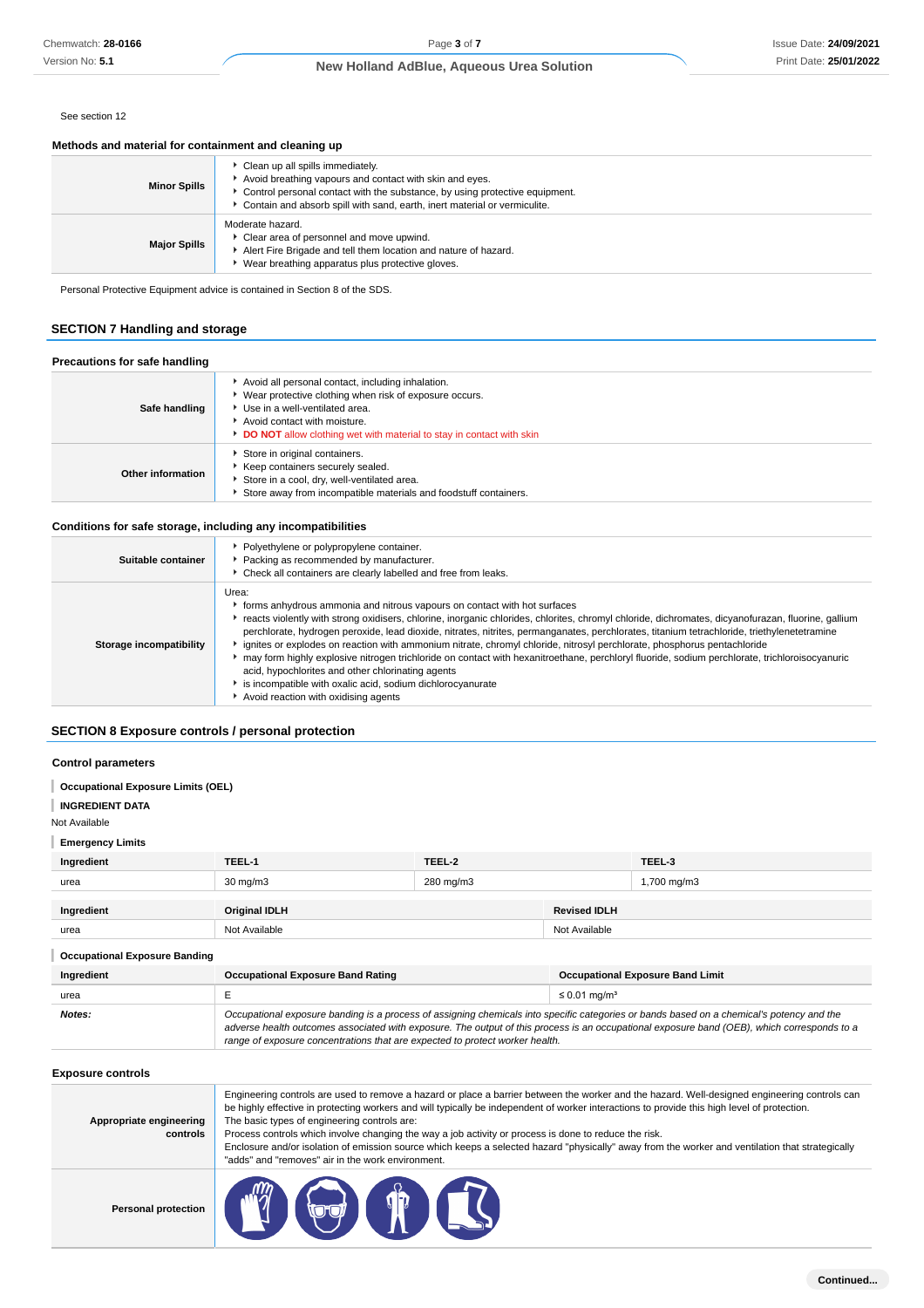Page **3** of **7**

#### See section 12

## **Methods and material for containment and cleaning up**

| <b>Minor Spills</b> | Clean up all spills immediately.<br>Avoid breathing vapours and contact with skin and eyes.<br>► Control personal contact with the substance, by using protective equipment.<br>Contain and absorb spill with sand, earth, inert material or vermiculite. |
|---------------------|-----------------------------------------------------------------------------------------------------------------------------------------------------------------------------------------------------------------------------------------------------------|
| <b>Major Spills</b> | Moderate hazard.<br>Clear area of personnel and move upwind.<br>Alert Fire Brigade and tell them location and nature of hazard.<br>Wear breathing apparatus plus protective gloves.                                                                       |

## **SECTION 7 Handling and storage**

#### **Precautions for safe handling**

| Safe handling     | Avoid all personal contact, including inhalation.<br>▶ Wear protective clothing when risk of exposure occurs.<br>Use in a well-ventilated area.<br>Avoid contact with moisture.<br><b>DO NOT</b> allow clothing wet with material to stay in contact with skin |
|-------------------|----------------------------------------------------------------------------------------------------------------------------------------------------------------------------------------------------------------------------------------------------------------|
| Other information | Store in original containers.<br>Keep containers securely sealed.<br>Store in a cool, dry, well-ventilated area.<br>Store away from incompatible materials and foodstuff containers.                                                                           |

### **Conditions for safe storage, including any incompatibilities**

| Chemwatch: 28-0166                                                                                                          |                                                                                                                                                                                                                                                                                                                                                                                                                                                                                                                                                                                                                                                                                                                                                                                                                            | Page 3 of 7                                                                                                                                                                                                         |                     |             | Issue Date: 24/09/202 |
|-----------------------------------------------------------------------------------------------------------------------------|----------------------------------------------------------------------------------------------------------------------------------------------------------------------------------------------------------------------------------------------------------------------------------------------------------------------------------------------------------------------------------------------------------------------------------------------------------------------------------------------------------------------------------------------------------------------------------------------------------------------------------------------------------------------------------------------------------------------------------------------------------------------------------------------------------------------------|---------------------------------------------------------------------------------------------------------------------------------------------------------------------------------------------------------------------|---------------------|-------------|-----------------------|
| Version No: 5.1                                                                                                             |                                                                                                                                                                                                                                                                                                                                                                                                                                                                                                                                                                                                                                                                                                                                                                                                                            | New Holland AdBlue, Aqueous Urea Solution                                                                                                                                                                           |                     |             | Print Date: 25/01/202 |
|                                                                                                                             |                                                                                                                                                                                                                                                                                                                                                                                                                                                                                                                                                                                                                                                                                                                                                                                                                            |                                                                                                                                                                                                                     |                     |             |                       |
| See section 12                                                                                                              |                                                                                                                                                                                                                                                                                                                                                                                                                                                                                                                                                                                                                                                                                                                                                                                                                            |                                                                                                                                                                                                                     |                     |             |                       |
| Methods and material for containment and cleaning up                                                                        |                                                                                                                                                                                                                                                                                                                                                                                                                                                                                                                                                                                                                                                                                                                                                                                                                            |                                                                                                                                                                                                                     |                     |             |                       |
| <b>Minor Spills</b>                                                                                                         | Clean up all spills immediately.                                                                                                                                                                                                                                                                                                                                                                                                                                                                                                                                                                                                                                                                                                                                                                                           | Avoid breathing vapours and contact with skin and eyes.<br>Control personal contact with the substance, by using protective equipment.<br>Contain and absorb spill with sand, earth, inert material or vermiculite. |                     |             |                       |
| <b>Major Spills</b>                                                                                                         | Moderate hazard.<br>Clear area of personnel and move upwind.<br>Alert Fire Brigade and tell them location and nature of hazard.<br>▶ Wear breathing apparatus plus protective gloves.                                                                                                                                                                                                                                                                                                                                                                                                                                                                                                                                                                                                                                      |                                                                                                                                                                                                                     |                     |             |                       |
|                                                                                                                             | Personal Protective Equipment advice is contained in Section 8 of the SDS.                                                                                                                                                                                                                                                                                                                                                                                                                                                                                                                                                                                                                                                                                                                                                 |                                                                                                                                                                                                                     |                     |             |                       |
| <b>SECTION 7 Handling and storage</b>                                                                                       |                                                                                                                                                                                                                                                                                                                                                                                                                                                                                                                                                                                                                                                                                                                                                                                                                            |                                                                                                                                                                                                                     |                     |             |                       |
| Precautions for safe handling                                                                                               |                                                                                                                                                                                                                                                                                                                                                                                                                                                                                                                                                                                                                                                                                                                                                                                                                            |                                                                                                                                                                                                                     |                     |             |                       |
| Safe handling                                                                                                               | Avoid all personal contact, including inhalation.<br>• Wear protective clothing when risk of exposure occurs.<br>Use in a well-ventilated area.<br>Avoid contact with moisture.<br>DO NOT allow clothing wet with material to stay in contact with skin                                                                                                                                                                                                                                                                                                                                                                                                                                                                                                                                                                    |                                                                                                                                                                                                                     |                     |             |                       |
| Other information                                                                                                           | Store in original containers.<br>Keep containers securely sealed.<br>Store in a cool, dry, well-ventilated area.<br>Store away from incompatible materials and foodstuff containers.                                                                                                                                                                                                                                                                                                                                                                                                                                                                                                                                                                                                                                       |                                                                                                                                                                                                                     |                     |             |                       |
| Conditions for safe storage, including any incompatibilities                                                                |                                                                                                                                                                                                                                                                                                                                                                                                                                                                                                                                                                                                                                                                                                                                                                                                                            |                                                                                                                                                                                                                     |                     |             |                       |
| Suitable container                                                                                                          | Check all containers are clearly labelled and free from leaks.                                                                                                                                                                                                                                                                                                                                                                                                                                                                                                                                                                                                                                                                                                                                                             | • Polyethylene or polypropylene container.<br>Packing as recommended by manufacturer.                                                                                                                               |                     |             |                       |
| Storage incompatibility                                                                                                     | • forms anhydrous ammonia and nitrous vapours on contact with hot surfaces<br>▶ reacts violently with strong oxidisers, chlorine, inorganic chlorides, chlorites, chromyl chloride, dichromates, dicyanofurazan, fluorine, gallium<br>perchlorate, hydrogen peroxide, lead dioxide, nitrates, nitrites, permanganates, perchlorates, titanium tetrachloride, triethylenetetramine<br>▶ ignites or explodes on reaction with ammonium nitrate, chromyl chloride, nitrosyl perchlorate, phosphorus pentachloride<br>may form highly explosive nitrogen trichloride on contact with hexanitroethane, perchloryl fluoride, sodium perchlorate, trichloroisocyanuric<br>acid, hypochlorites and other chlorinating agents<br>is incompatible with oxalic acid, sodium dichlorocyanurate<br>Avoid reaction with oxidising agents |                                                                                                                                                                                                                     |                     |             |                       |
| SECTION 8 Exposure controls / personal protection<br><b>Control parameters</b><br><b>Occupational Exposure Limits (OEL)</b> |                                                                                                                                                                                                                                                                                                                                                                                                                                                                                                                                                                                                                                                                                                                                                                                                                            |                                                                                                                                                                                                                     |                     |             |                       |
| <b>INGREDIENT DATA</b><br>Not Available                                                                                     |                                                                                                                                                                                                                                                                                                                                                                                                                                                                                                                                                                                                                                                                                                                                                                                                                            |                                                                                                                                                                                                                     |                     |             |                       |
| <b>Emergency Limits</b>                                                                                                     |                                                                                                                                                                                                                                                                                                                                                                                                                                                                                                                                                                                                                                                                                                                                                                                                                            |                                                                                                                                                                                                                     |                     |             |                       |
| Ingredient                                                                                                                  | TEEL-1                                                                                                                                                                                                                                                                                                                                                                                                                                                                                                                                                                                                                                                                                                                                                                                                                     | TEEL-2                                                                                                                                                                                                              |                     | TEEL-3      |                       |
| urea                                                                                                                        | 30 mg/m3                                                                                                                                                                                                                                                                                                                                                                                                                                                                                                                                                                                                                                                                                                                                                                                                                   | 280 mg/m3                                                                                                                                                                                                           |                     | 1,700 mg/m3 |                       |
| Ingredient                                                                                                                  | Original IDLH                                                                                                                                                                                                                                                                                                                                                                                                                                                                                                                                                                                                                                                                                                                                                                                                              |                                                                                                                                                                                                                     | <b>Revised IDLH</b> |             |                       |
| urea                                                                                                                        | Not Available                                                                                                                                                                                                                                                                                                                                                                                                                                                                                                                                                                                                                                                                                                                                                                                                              |                                                                                                                                                                                                                     | Not Available       |             |                       |
|                                                                                                                             |                                                                                                                                                                                                                                                                                                                                                                                                                                                                                                                                                                                                                                                                                                                                                                                                                            |                                                                                                                                                                                                                     |                     |             |                       |
| <b>Occupational Exposure Banding</b>                                                                                        |                                                                                                                                                                                                                                                                                                                                                                                                                                                                                                                                                                                                                                                                                                                                                                                                                            |                                                                                                                                                                                                                     |                     |             |                       |
| Ingredient                                                                                                                  | <b>Occupational Exposure Band Rating</b><br><b>Occupational Exposure Band Limit</b>                                                                                                                                                                                                                                                                                                                                                                                                                                                                                                                                                                                                                                                                                                                                        |                                                                                                                                                                                                                     |                     |             |                       |
| urea<br>Notes:                                                                                                              | E<br>$\leq$ 0.01 mg/m <sup>3</sup><br>Occupational exposure banding is a process of assigning chemicals into specific categories or bands based on a chemical's potency and the<br>adverse health outcomes associated with exposure. The output of this process is an occupational exposure band (OEB), which corresponds to a<br>range of exposure concentrations that are expected to protect worker health.                                                                                                                                                                                                                                                                                                                                                                                                             |                                                                                                                                                                                                                     |                     |             |                       |
| <b>Exposure controls</b>                                                                                                    |                                                                                                                                                                                                                                                                                                                                                                                                                                                                                                                                                                                                                                                                                                                                                                                                                            |                                                                                                                                                                                                                     |                     |             |                       |
| Appropriate engineering<br>controls                                                                                         | Engineering controls are used to remove a hazard or place a barrier between the worker and the hazard. Well-designed engineering controls can<br>be highly effective in protecting workers and will typically be independent of worker interactions to provide this high level of protection.<br>The basic types of engineering controls are:<br>Process controls which involve changing the way a job activity or process is done to reduce the risk.<br>Enclosure and/or isolation of emission source which keeps a selected hazard "physically" away from the worker and ventilation that strategically<br>"adds" and "removes" air in the work environment.                                                                                                                                                            |                                                                                                                                                                                                                     |                     |             |                       |
| <b>Personal protection</b>                                                                                                  |                                                                                                                                                                                                                                                                                                                                                                                                                                                                                                                                                                                                                                                                                                                                                                                                                            | $\sqrt{12}$                                                                                                                                                                                                         |                     |             |                       |

## **SECTION 8 Exposure controls / personal protection**

#### **Control parameters**

#### I **Occupational Exposure Limits (OEL)**

```
INGREDIENT DATA
```

```
Not Available
```
## **Emergency Limits**

| Ingredient                           | TEEL-1                                                                                                                                    | TEEL-2    |                               | TEEL-3                                  |
|--------------------------------------|-------------------------------------------------------------------------------------------------------------------------------------------|-----------|-------------------------------|-----------------------------------------|
| urea                                 | $30 \text{ mg/m}$                                                                                                                         | 280 mg/m3 |                               | 1,700 mg/m3                             |
| Ingredient                           | <b>Original IDLH</b>                                                                                                                      |           | <b>Revised IDLH</b>           |                                         |
| urea                                 | Not Available                                                                                                                             |           | Not Available                 |                                         |
| <b>Occupational Exposure Banding</b> |                                                                                                                                           |           |                               |                                         |
| Ingredient                           | <b>Occupational Exposure Band Rating</b>                                                                                                  |           |                               | <b>Occupational Exposure Band Limit</b> |
| urea                                 | E                                                                                                                                         |           | $\leq 0.01$ mg/m <sup>3</sup> |                                         |
| Notes:                               | Occupational exposure banding is a process of assigning chemicals into specific categories or bands based on a chemical's potency and the |           |                               |                                         |

| Appropriate engineering<br>controls | Engineering controls are used to remove a hazard or place a barrier between the worker and the hazard. Well-designed engineering controls can<br>be highly effective in protecting workers and will typically be independent of worker interactions to provide this high level of protection.<br>The basic types of engineering controls are:<br>Process controls which involve changing the way a job activity or process is done to reduce the risk.<br>Enclosure and/or isolation of emission source which keeps a selected hazard "physically" away from the worker and ventilation that strategically<br>"adds" and "removes" air in the work environment. |
|-------------------------------------|-----------------------------------------------------------------------------------------------------------------------------------------------------------------------------------------------------------------------------------------------------------------------------------------------------------------------------------------------------------------------------------------------------------------------------------------------------------------------------------------------------------------------------------------------------------------------------------------------------------------------------------------------------------------|
| <b>Personal protection</b>          | OF T                                                                                                                                                                                                                                                                                                                                                                                                                                                                                                                                                                                                                                                            |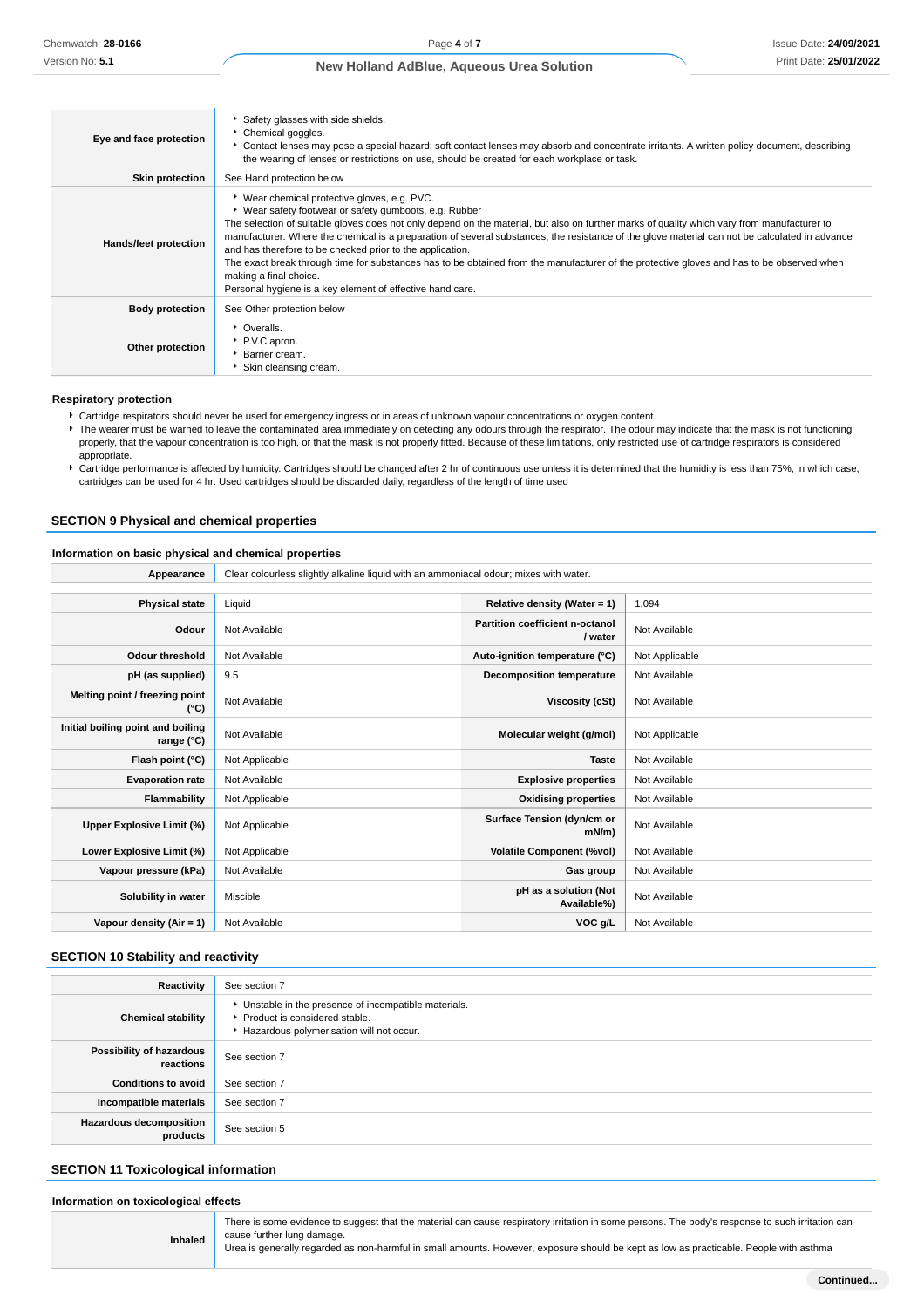| Eye and face protection | Safety glasses with side shields.<br>Chemical goggles.<br>Contact lenses may pose a special hazard; soft contact lenses may absorb and concentrate irritants. A written policy document, describing<br>the wearing of lenses or restrictions on use, should be created for each workplace or task.                                                                                                                                                                                                                                                                                                                                                                                                       |
|-------------------------|----------------------------------------------------------------------------------------------------------------------------------------------------------------------------------------------------------------------------------------------------------------------------------------------------------------------------------------------------------------------------------------------------------------------------------------------------------------------------------------------------------------------------------------------------------------------------------------------------------------------------------------------------------------------------------------------------------|
| <b>Skin protection</b>  | See Hand protection below                                                                                                                                                                                                                                                                                                                                                                                                                                                                                                                                                                                                                                                                                |
| Hands/feet protection   | ▶ Wear chemical protective gloves, e.g. PVC.<br>▶ Wear safety footwear or safety gumboots, e.g. Rubber<br>The selection of suitable gloves does not only depend on the material, but also on further marks of quality which vary from manufacturer to<br>manufacturer. Where the chemical is a preparation of several substances, the resistance of the glove material can not be calculated in advance<br>and has therefore to be checked prior to the application.<br>The exact break through time for substances has to be obtained from the manufacturer of the protective gloves and has to be observed when<br>making a final choice.<br>Personal hygiene is a key element of effective hand care. |
| <b>Body protection</b>  | See Other protection below                                                                                                                                                                                                                                                                                                                                                                                                                                                                                                                                                                                                                                                                               |
| Other protection        | • Overalls.<br>P.V.C apron.<br>▶ Barrier cream.<br>Skin cleansing cream.                                                                                                                                                                                                                                                                                                                                                                                                                                                                                                                                                                                                                                 |

### **Respiratory protection**

Cartridge respirators should never be used for emergency ingress or in areas of unknown vapour concentrations or oxygen content.

▶ The wearer must be warned to leave the contaminated area immediately on detecting any odours through the respirator. The odour may indicate that the mask is not functioning properly, that the vapour concentration is too high, or that the mask is not properly fitted. Because of these limitations, only restricted use of cartridge respirators is considered appropriate.

Lartridge performance is affected by humidity. Cartridges should be changed after 2 hr of continuous use unless it is determined that the humidity is less than 75%, in which case, cartridges can be used for 4 hr. Used cartridges should be discarded daily, regardless of the length of time used

### **SECTION 9 Physical and chemical properties**

### **Information on basic physical and chemical properties**

| Appearance                                        | Clear colourless slightly alkaline liquid with an ammoniacal odour; mixes with water. |                                            |                |  |
|---------------------------------------------------|---------------------------------------------------------------------------------------|--------------------------------------------|----------------|--|
|                                                   |                                                                                       |                                            |                |  |
| <b>Physical state</b>                             | Liquid                                                                                | Relative density (Water = $1$ )            | 1.094          |  |
| Odour                                             | Not Available                                                                         | Partition coefficient n-octanol<br>/ water | Not Available  |  |
| <b>Odour threshold</b>                            | Not Available                                                                         | Auto-ignition temperature (°C)             | Not Applicable |  |
| pH (as supplied)                                  | 9.5                                                                                   | Decomposition temperature                  | Not Available  |  |
| Melting point / freezing point<br>(°C)            | Not Available                                                                         | Viscosity (cSt)                            | Not Available  |  |
| Initial boiling point and boiling<br>range $(°C)$ | Not Available                                                                         | Molecular weight (g/mol)                   | Not Applicable |  |
| Flash point (°C)                                  | Not Applicable                                                                        | <b>Taste</b>                               | Not Available  |  |
| <b>Evaporation rate</b>                           | Not Available                                                                         | <b>Explosive properties</b>                | Not Available  |  |
| Flammability                                      | Not Applicable                                                                        | <b>Oxidising properties</b>                | Not Available  |  |
| Upper Explosive Limit (%)                         | Not Applicable                                                                        | Surface Tension (dyn/cm or<br>$mN/m$ )     | Not Available  |  |
| Lower Explosive Limit (%)                         | Not Applicable                                                                        | <b>Volatile Component (%vol)</b>           | Not Available  |  |
| Vapour pressure (kPa)                             | Not Available                                                                         | Gas group                                  | Not Available  |  |
| Solubility in water                               | Miscible                                                                              | pH as a solution (Not<br>Available%)       | Not Available  |  |
| Vapour density (Air = 1)                          | Not Available                                                                         | VOC g/L                                    | Not Available  |  |

### **SECTION 10 Stability and reactivity**

| Reactivity                                 | See section 7                                                                                                                        |
|--------------------------------------------|--------------------------------------------------------------------------------------------------------------------------------------|
| <b>Chemical stability</b>                  | • Unstable in the presence of incompatible materials.<br>▶ Product is considered stable.<br>Hazardous polymerisation will not occur. |
| Possibility of hazardous<br>reactions      | See section 7                                                                                                                        |
| <b>Conditions to avoid</b>                 | See section 7                                                                                                                        |
| Incompatible materials                     | See section 7                                                                                                                        |
| <b>Hazardous decomposition</b><br>products | See section 5                                                                                                                        |

## **SECTION 11 Toxicological information**

**Inhaled**

#### **Information on toxicological effects**

There is some evidence to suggest that the material can cause respiratory irritation in some persons. The body's response to such irritation can cause further lung damage.

Urea is generally regarded as non-harmful in small amounts. However, exposure should be kept as low as practicable. People with asthma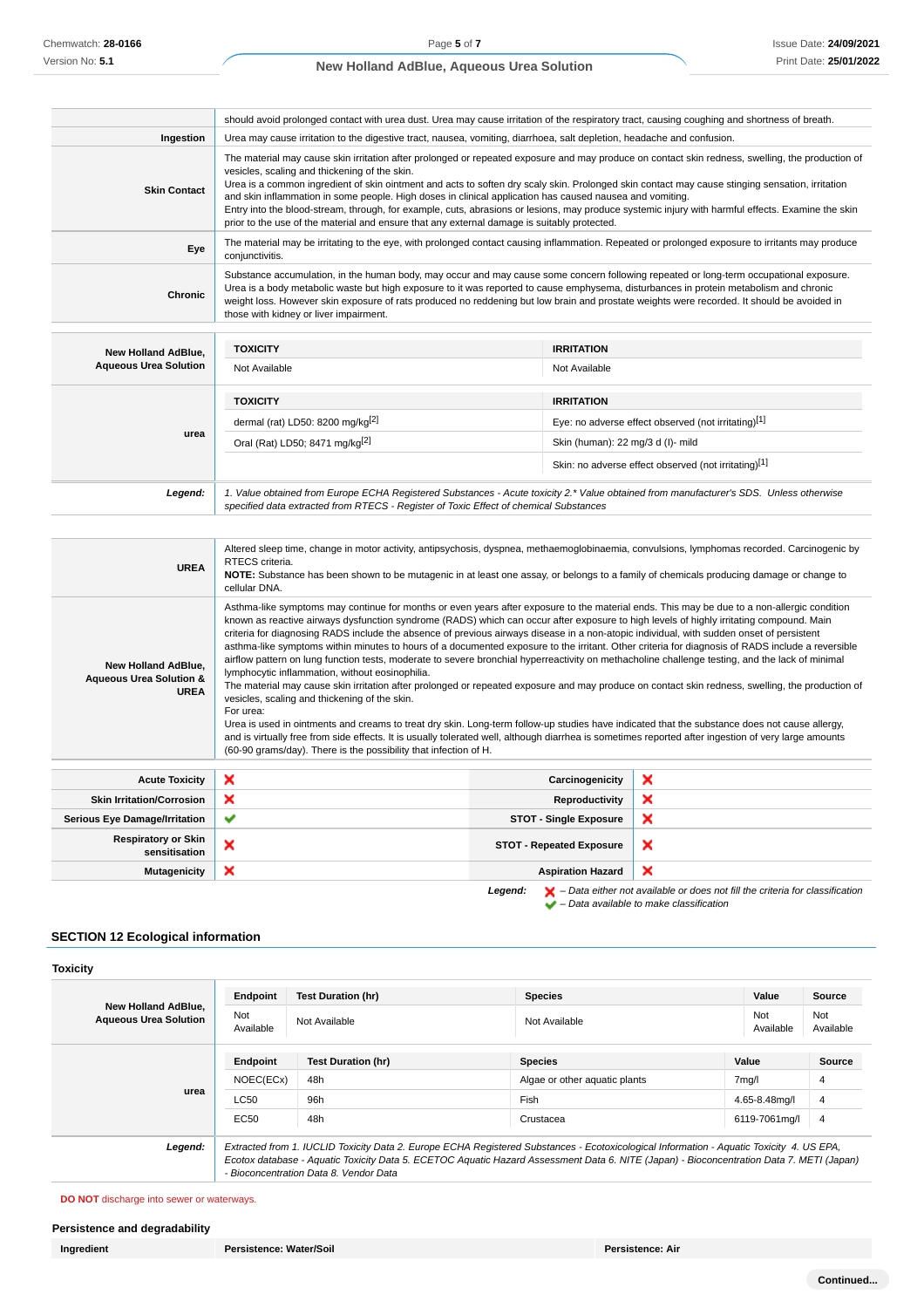|                     | should avoid prolonged contact with urea dust. Urea may cause irritation of the respiratory tract, causing coughing and shortness of breath.                                                                                                                                                                                                                                                                                                                                                                                                                                                                                                                                                                         |
|---------------------|----------------------------------------------------------------------------------------------------------------------------------------------------------------------------------------------------------------------------------------------------------------------------------------------------------------------------------------------------------------------------------------------------------------------------------------------------------------------------------------------------------------------------------------------------------------------------------------------------------------------------------------------------------------------------------------------------------------------|
| Ingestion           | Urea may cause irritation to the digestive tract, nausea, vomiting, diarrhoea, salt depletion, headache and confusion.                                                                                                                                                                                                                                                                                                                                                                                                                                                                                                                                                                                               |
| <b>Skin Contact</b> | The material may cause skin irritation after prolonged or repeated exposure and may produce on contact skin redness, swelling, the production of<br>vesicles, scaling and thickening of the skin.<br>Urea is a common ingredient of skin ointment and acts to soften dry scaly skin. Prolonged skin contact may cause stinging sensation, irritation<br>and skin inflammation in some people. High doses in clinical application has caused nausea and vomiting.<br>Entry into the blood-stream, through, for example, cuts, abrasions or lesions, may produce systemic injury with harmful effects. Examine the skin<br>prior to the use of the material and ensure that any external damage is suitably protected. |
| Eye                 | The material may be irritating to the eye, with prolonged contact causing inflammation. Repeated or prolonged exposure to irritants may produce<br>conjunctivitis.                                                                                                                                                                                                                                                                                                                                                                                                                                                                                                                                                   |
| Chronic             | Substance accumulation, in the human body, may occur and may cause some concern following repeated or long-term occupational exposure.<br>Urea is a body metabolic waste but high exposure to it was reported to cause emphysema, disturbances in protein metabolism and chronic<br>weight loss. However skin exposure of rats produced no reddening but low brain and prostate weights were recorded. It should be avoided in<br>those with kidney or liver impairment.                                                                                                                                                                                                                                             |

| <b>New Holland AdBlue.</b><br><b>Aqueous Urea Solution</b> | <b>TOXICITY</b><br>Not Available                                                                                                                                                                                                | <b>IRRITATION</b><br>Not Available                                       |  |
|------------------------------------------------------------|---------------------------------------------------------------------------------------------------------------------------------------------------------------------------------------------------------------------------------|--------------------------------------------------------------------------|--|
|                                                            | <b>TOXICITY</b><br>dermal (rat) LD50: 8200 mg/kg $[2]$                                                                                                                                                                          | <b>IRRITATION</b><br>Eye: no adverse effect observed (not irritating)[1] |  |
| urea                                                       | Oral (Rat) LD50; 8471 mg/kg <sup>[2]</sup>                                                                                                                                                                                      | Skin (human): 22 mg/3 d (I)- mild                                        |  |
|                                                            |                                                                                                                                                                                                                                 | Skin: no adverse effect observed (not irritating)[1]                     |  |
| Legend:                                                    | 1. Value obtained from Europe ECHA Registered Substances - Acute toxicity 2.* Value obtained from manufacturer's SDS. Unless otherwise<br>specified data extracted from RTECS - Register of Toxic Effect of chemical Substances |                                                                          |  |

| <b>UREA</b>                                                              | Altered sleep time, change in motor activity, antipsychosis, dyspnea, methaemoglobinaemia, convulsions, lymphomas recorded. Carcinogenic by<br>RTECS criteria.<br>NOTE: Substance has been shown to be mutagenic in at least one assay, or belongs to a family of chemicals producing damage or change to<br>cellular DNA.                                                                                                                                                                                                                                                                                                                                                                                                                                                                                                                                                                                                                                                                                                                                                                                                                                                                                                                                                                                                                                                                  |   |  |  |
|--------------------------------------------------------------------------|---------------------------------------------------------------------------------------------------------------------------------------------------------------------------------------------------------------------------------------------------------------------------------------------------------------------------------------------------------------------------------------------------------------------------------------------------------------------------------------------------------------------------------------------------------------------------------------------------------------------------------------------------------------------------------------------------------------------------------------------------------------------------------------------------------------------------------------------------------------------------------------------------------------------------------------------------------------------------------------------------------------------------------------------------------------------------------------------------------------------------------------------------------------------------------------------------------------------------------------------------------------------------------------------------------------------------------------------------------------------------------------------|---|--|--|
| New Holland AdBlue,<br><b>Aqueous Urea Solution &amp;</b><br><b>UREA</b> | Asthma-like symptoms may continue for months or even years after exposure to the material ends. This may be due to a non-allergic condition<br>known as reactive airways dysfunction syndrome (RADS) which can occur after exposure to high levels of highly irritating compound. Main<br>criteria for diagnosing RADS include the absence of previous airways disease in a non-atopic individual, with sudden onset of persistent<br>asthma-like symptoms within minutes to hours of a documented exposure to the irritant. Other criteria for diagnosis of RADS include a reversible<br>airflow pattern on lung function tests, moderate to severe bronchial hyperreactivity on methacholine challenge testing, and the lack of minimal<br>lymphocytic inflammation, without eosinophilia.<br>The material may cause skin irritation after prolonged or repeated exposure and may produce on contact skin redness, swelling, the production of<br>vesicles, scaling and thickening of the skin.<br>For urea:<br>Urea is used in ointments and creams to treat dry skin. Long-term follow-up studies have indicated that the substance does not cause allergy,<br>and is virtually free from side effects. It is usually tolerated well, although diarrhea is sometimes reported after ingestion of very large amounts<br>(60-90 grams/day). There is the possibility that infection of H. |   |  |  |
| <b>Acute Toxicity</b>                                                    | ×<br>Carcinogenicity                                                                                                                                                                                                                                                                                                                                                                                                                                                                                                                                                                                                                                                                                                                                                                                                                                                                                                                                                                                                                                                                                                                                                                                                                                                                                                                                                                        | × |  |  |
| <b>Skin Irritation/Corrosion</b>                                         | ×<br>Reproductivity                                                                                                                                                                                                                                                                                                                                                                                                                                                                                                                                                                                                                                                                                                                                                                                                                                                                                                                                                                                                                                                                                                                                                                                                                                                                                                                                                                         | × |  |  |
| <b>Serious Eye Damage/Irritation</b>                                     | ×<br>✔<br><b>STOT - Single Exposure</b>                                                                                                                                                                                                                                                                                                                                                                                                                                                                                                                                                                                                                                                                                                                                                                                                                                                                                                                                                                                                                                                                                                                                                                                                                                                                                                                                                     |   |  |  |
|                                                                          | ×<br><b>STOT - Repeated Exposure</b>                                                                                                                                                                                                                                                                                                                                                                                                                                                                                                                                                                                                                                                                                                                                                                                                                                                                                                                                                                                                                                                                                                                                                                                                                                                                                                                                                        |   |  |  |
| <b>Respiratory or Skin</b><br>sensitisation                              | ×                                                                                                                                                                                                                                                                                                                                                                                                                                                                                                                                                                                                                                                                                                                                                                                                                                                                                                                                                                                                                                                                                                                                                                                                                                                                                                                                                                                           |   |  |  |

**Legend:**  $\mathbf{X}$  – Data either not available or does not fill the criteria for classification – Data available to make classification

## **SECTION 12 Ecological information**

| <b>New Holland AdBlue.</b><br><b>Aqueous Urea Solution</b> | Endpoint         | <b>Test Duration (hr)</b>              | <b>Species</b>                                                                                                                           | Value         | <b>Source</b>    |
|------------------------------------------------------------|------------------|----------------------------------------|------------------------------------------------------------------------------------------------------------------------------------------|---------------|------------------|
|                                                            | Not<br>Available | Not Available                          | Not<br>Not Available<br>Available                                                                                                        |               | Not<br>Available |
| urea                                                       | Endpoint         | <b>Test Duration (hr)</b>              | <b>Species</b>                                                                                                                           | Value         | Source           |
|                                                            | NOEC(ECx)        | 48h                                    | Algae or other aguatic plants                                                                                                            | 7mg/l         | 4                |
|                                                            | <b>LC50</b>      | 96h                                    | Fish                                                                                                                                     | 4.65-8.48mg/l | 4                |
|                                                            | EC50             | 48h                                    | Crustacea                                                                                                                                | 6119-7061mg/l | 4                |
| Legend:                                                    |                  |                                        | Extracted from 1. IUCLID Toxicity Data 2. Europe ECHA Registered Substances - Ecotoxicological Information - Aquatic Toxicity 4. US EPA, |               |                  |
|                                                            |                  | - Bioconcentration Data 8. Vendor Data | Ecotox database - Aquatic Toxicity Data 5. ECETOC Aquatic Hazard Assessment Data 6. NITE (Japan) - Bioconcentration Data 7. METI (Japan) |               |                  |

**DO NOT** discharge into sewer or waterways.

## **Persistence and degradability**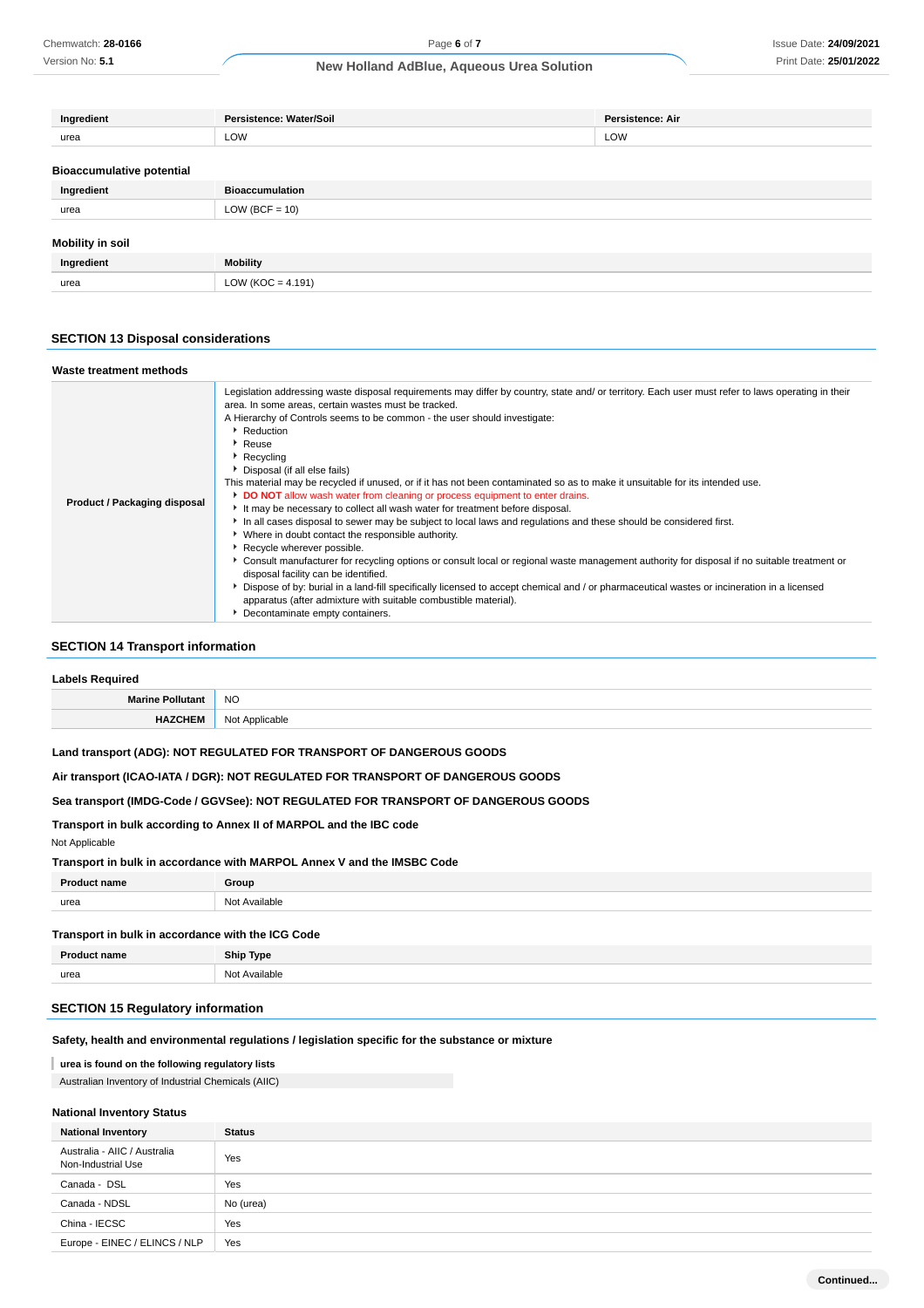Version No: **5.1**

## **New Holland AdBlue, Aqueous Urea Solution**

| Ingredient                       | Persistence: Water/Soil | Persistence: Air |
|----------------------------------|-------------------------|------------------|
| urea                             | LOW                     | LOW              |
| <b>Bioaccumulative potential</b> |                         |                  |
| Ingredient                       | <b>Bioaccumulation</b>  |                  |
| urea                             | $LOW (BCF = 10)$        |                  |
| <b>Mobility in soil</b>          |                         |                  |
| Ingredient                       | <b>Mobility</b>         |                  |
| urea                             | LOW ( $KOC = 4.191$ )   |                  |
|                                  |                         |                  |

## **SECTION 13 Disposal considerations**

| Waste treatment methods      |                                                                                                                                                                                                                                                                                                                                                                                                                                                                                                                                                                                                                                                                                                                                                                                                                                                                                                                                                                                                                                                                                                                                                                                                                                                                                                                                             |
|------------------------------|---------------------------------------------------------------------------------------------------------------------------------------------------------------------------------------------------------------------------------------------------------------------------------------------------------------------------------------------------------------------------------------------------------------------------------------------------------------------------------------------------------------------------------------------------------------------------------------------------------------------------------------------------------------------------------------------------------------------------------------------------------------------------------------------------------------------------------------------------------------------------------------------------------------------------------------------------------------------------------------------------------------------------------------------------------------------------------------------------------------------------------------------------------------------------------------------------------------------------------------------------------------------------------------------------------------------------------------------|
| Product / Packaging disposal | Legislation addressing waste disposal requirements may differ by country, state and/ or territory. Each user must refer to laws operating in their<br>area. In some areas, certain wastes must be tracked.<br>A Hierarchy of Controls seems to be common - the user should investigate:<br>Reduction<br>$\blacktriangleright$ Reuse<br>▶ Recycling<br>Disposal (if all else fails)<br>This material may be recycled if unused, or if it has not been contaminated so as to make it unsuitable for its intended use.<br>DO NOT allow wash water from cleaning or process equipment to enter drains.<br>It may be necessary to collect all wash water for treatment before disposal.<br>In all cases disposal to sewer may be subject to local laws and regulations and these should be considered first.<br>• Where in doubt contact the responsible authority.<br>Recycle wherever possible.<br>▶ Consult manufacturer for recycling options or consult local or regional waste management authority for disposal if no suitable treatment or<br>disposal facility can be identified.<br>> Dispose of by: burial in a land-fill specifically licensed to accept chemical and / or pharmaceutical wastes or incineration in a licensed<br>apparatus (after admixture with suitable combustible material).<br>Decontaminate empty containers. |

## **SECTION 14 Transport information**

| Pacuirad<br>.ah.            |           |  |
|-----------------------------|-----------|--|
| Marine <b>Do</b><br>tan<br> | <b>NO</b> |  |
|                             | Nο        |  |

### **Land transport (ADG): NOT REGULATED FOR TRANSPORT OF DANGEROUS GOODS**

**Air transport (ICAO-IATA / DGR): NOT REGULATED FOR TRANSPORT OF DANGEROUS GOODS**

**Sea transport (IMDG-Code / GGVSee): NOT REGULATED FOR TRANSPORT OF DANGEROUS GOODS**

## **Transport in bulk according to Annex II of MARPOL and the IBC code**

## Not Applicable

#### **Transport in bulk in accordance with MARPOL Annex V and the IMSBC Code**

| <b>Product name</b> | Group         |
|---------------------|---------------|
| urea                | Not Available |
|                     |               |

## **Transport in bulk in accordance with the ICG Code**

| n.<br>am | <b>Ship Type</b> |
|----------|------------------|
| urea     | √اد<br>Available |
|          |                  |

## **SECTION 15 Regulatory information**

### **Safety, health and environmental regulations / legislation specific for the substance or mixture**

#### **urea is found on the following regulatory lists**

### Australian Inventory of Industrial Chemicals (AIIC)

## **National Inventory Status**

| <b>National Inventory</b>                          | <b>Status</b> |
|----------------------------------------------------|---------------|
| Australia - AIIC / Australia<br>Non-Industrial Use | Yes           |
| Canada - DSL                                       | Yes           |
| Canada - NDSL                                      | No (urea)     |
| China - IECSC                                      | Yes           |
| Europe - EINEC / ELINCS / NLP                      | Yes           |